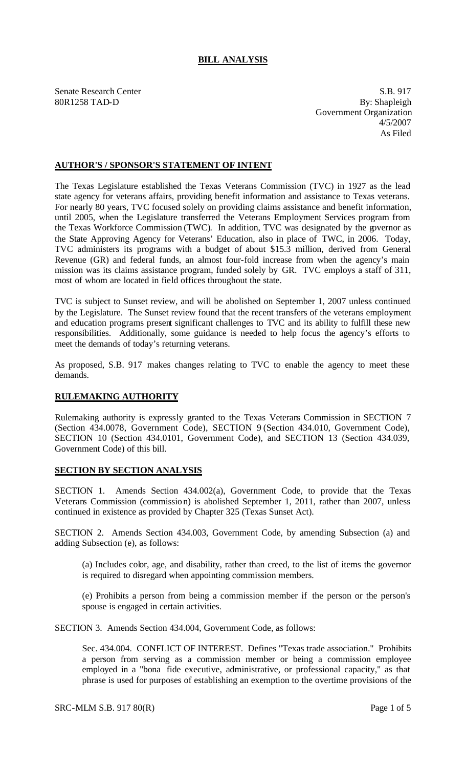## **BILL ANALYSIS**

Senate Research Center S.B. 917 80R1258 TAD-D By: Shapleigh Government Organization 4/5/2007 As Filed

## **AUTHOR'S / SPONSOR'S STATEMENT OF INTENT**

The Texas Legislature established the Texas Veterans Commission (TVC) in 1927 as the lead state agency for veterans affairs, providing benefit information and assistance to Texas veterans. For nearly 80 years, TVC focused solely on providing claims assistance and benefit information, until 2005, when the Legislature transferred the Veterans Employment Services program from the Texas Workforce Commission (TWC). In addition, TVC was designated by the governor as the State Approving Agency for Veterans' Education, also in place of TWC, in 2006. Today, TVC administers its programs with a budget of about \$15.3 million, derived from General Revenue (GR) and federal funds, an almost four-fold increase from when the agency's main mission was its claims assistance program, funded solely by GR. TVC employs a staff of 311, most of whom are located in field offices throughout the state.

TVC is subject to Sunset review, and will be abolished on September 1, 2007 unless continued by the Legislature. The Sunset review found that the recent transfers of the veterans employment and education programs present significant challenges to TVC and its ability to fulfill these new responsibilities. Additionally, some guidance is needed to help focus the agency's efforts to meet the demands of today's returning veterans.

As proposed, S.B. 917 makes changes relating to TVC to enable the agency to meet these demands.

## **RULEMAKING AUTHORITY**

Rulemaking authority is expressly granted to the Texas Veterans Commission in SECTION 7 (Section 434.0078, Government Code), SECTION 9 (Section 434.010, Government Code), SECTION 10 (Section 434.0101, Government Code), and SECTION 13 (Section 434.039, Government Code) of this bill.

## **SECTION BY SECTION ANALYSIS**

SECTION 1. Amends Section 434.002(a), Government Code, to provide that the Texas Veterans Commission (commission) is abolished September 1, 2011, rather than 2007, unless continued in existence as provided by Chapter 325 (Texas Sunset Act).

SECTION 2. Amends Section 434.003, Government Code, by amending Subsection (a) and adding Subsection (e), as follows:

(a) Includes color, age, and disability, rather than creed, to the list of items the governor is required to disregard when appointing commission members.

(e) Prohibits a person from being a commission member if the person or the person's spouse is engaged in certain activities.

SECTION 3. Amends Section 434.004, Government Code, as follows:

Sec. 434.004. CONFLICT OF INTEREST. Defines "Texas trade association." Prohibits a person from serving as a commission member or being a commission employee employed in a "bona fide executive, administrative, or professional capacity," as that phrase is used for purposes of establishing an exemption to the overtime provisions of the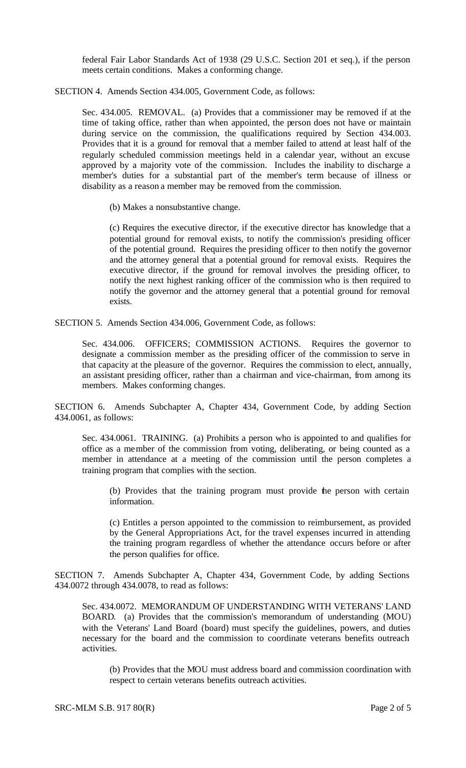federal Fair Labor Standards Act of 1938 (29 U.S.C. Section 201 et seq.), if the person meets certain conditions. Makes a conforming change.

SECTION 4. Amends Section 434.005, Government Code, as follows:

Sec. 434.005. REMOVAL. (a) Provides that a commissioner may be removed if at the time of taking office, rather than when appointed, the person does not have or maintain during service on the commission, the qualifications required by Section 434.003. Provides that it is a ground for removal that a member failed to attend at least half of the regularly scheduled commission meetings held in a calendar year, without an excuse approved by a majority vote of the commission. Includes the inability to discharge a member's duties for a substantial part of the member's term because of illness or disability as a reason a member may be removed from the commission.

(b) Makes a nonsubstantive change.

(c) Requires the executive director, if the executive director has knowledge that a potential ground for removal exists, to notify the commission's presiding officer of the potential ground. Requires the presiding officer to then notify the governor and the attorney general that a potential ground for removal exists. Requires the executive director, if the ground for removal involves the presiding officer, to notify the next highest ranking officer of the commission who is then required to notify the governor and the attorney general that a potential ground for removal exists.

SECTION 5. Amends Section 434.006, Government Code, as follows:

Sec. 434.006. OFFICERS; COMMISSION ACTIONS. Requires the governor to designate a commission member as the presiding officer of the commission to serve in that capacity at the pleasure of the governor. Requires the commission to elect, annually, an assistant presiding officer, rather than a chairman and vice-chairman, from among its members. Makes conforming changes.

SECTION 6. Amends Subchapter A, Chapter 434, Government Code, by adding Section 434.0061, as follows:

Sec. 434.0061. TRAINING. (a) Prohibits a person who is appointed to and qualifies for office as a member of the commission from voting, deliberating, or being counted as a member in attendance at a meeting of the commission until the person completes a training program that complies with the section.

(b) Provides that the training program must provide the person with certain information.

(c) Entitles a person appointed to the commission to reimbursement, as provided by the General Appropriations Act, for the travel expenses incurred in attending the training program regardless of whether the attendance occurs before or after the person qualifies for office.

SECTION 7. Amends Subchapter A, Chapter 434, Government Code, by adding Sections 434.0072 through 434.0078, to read as follows:

Sec. 434.0072. MEMORANDUM OF UNDERSTANDING WITH VETERANS' LAND BOARD. (a) Provides that the commission's memorandum of understanding (MOU) with the Veterans' Land Board (board) must specify the guidelines, powers, and duties necessary for the board and the commission to coordinate veterans benefits outreach activities.

(b) Provides that the MOU must address board and commission coordination with respect to certain veterans benefits outreach activities.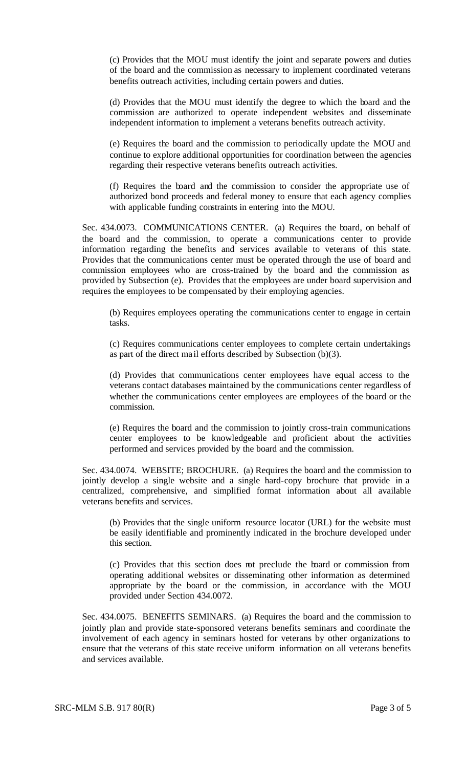(c) Provides that the MOU must identify the joint and separate powers and duties of the board and the commission as necessary to implement coordinated veterans benefits outreach activities, including certain powers and duties.

(d) Provides that the MOU must identify the degree to which the board and the commission are authorized to operate independent websites and disseminate independent information to implement a veterans benefits outreach activity.

(e) Requires the board and the commission to periodically update the MOU and continue to explore additional opportunities for coordination between the agencies regarding their respective veterans benefits outreach activities.

(f) Requires the board and the commission to consider the appropriate use of authorized bond proceeds and federal money to ensure that each agency complies with applicable funding constraints in entering into the MOU.

Sec. 434.0073. COMMUNICATIONS CENTER. (a) Requires the board, on behalf of the board and the commission, to operate a communications center to provide information regarding the benefits and services available to veterans of this state. Provides that the communications center must be operated through the use of board and commission employees who are cross-trained by the board and the commission as provided by Subsection (e). Provides that the employees are under board supervision and requires the employees to be compensated by their employing agencies.

(b) Requires employees operating the communications center to engage in certain tasks.

(c) Requires communications center employees to complete certain undertakings as part of the direct ma il efforts described by Subsection (b)(3).

(d) Provides that communications center employees have equal access to the veterans contact databases maintained by the communications center regardless of whether the communications center employees are employees of the board or the commission.

(e) Requires the board and the commission to jointly cross-train communications center employees to be knowledgeable and proficient about the activities performed and services provided by the board and the commission.

Sec. 434.0074. WEBSITE; BROCHURE. (a) Requires the board and the commission to jointly develop a single website and a single hard-copy brochure that provide in a centralized, comprehensive, and simplified format information about all available veterans benefits and services.

(b) Provides that the single uniform resource locator (URL) for the website must be easily identifiable and prominently indicated in the brochure developed under this section.

(c) Provides that this section does not preclude the board or commission from operating additional websites or disseminating other information as determined appropriate by the board or the commission, in accordance with the MOU provided under Section 434.0072.

Sec. 434.0075. BENEFITS SEMINARS. (a) Requires the board and the commission to jointly plan and provide state-sponsored veterans benefits seminars and coordinate the involvement of each agency in seminars hosted for veterans by other organizations to ensure that the veterans of this state receive uniform information on all veterans benefits and services available.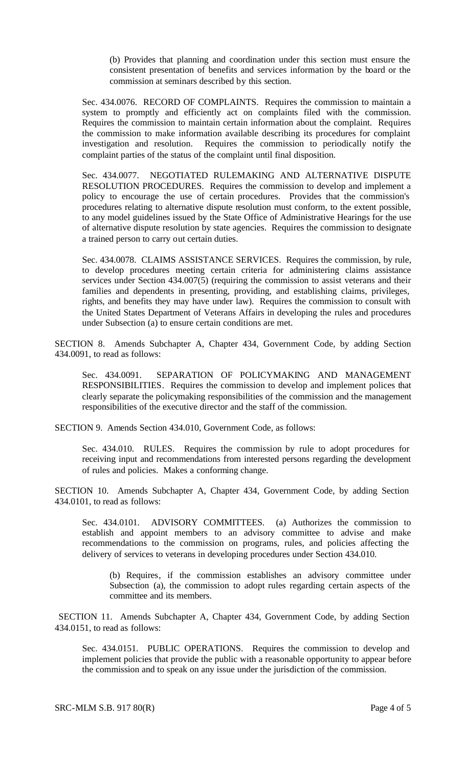(b) Provides that planning and coordination under this section must ensure the consistent presentation of benefits and services information by the board or the commission at seminars described by this section.

Sec. 434.0076. RECORD OF COMPLAINTS. Requires the commission to maintain a system to promptly and efficiently act on complaints filed with the commission. Requires the commission to maintain certain information about the complaint. Requires the commission to make information available describing its procedures for complaint investigation and resolution. Requires the commission to periodically notify the complaint parties of the status of the complaint until final disposition.

Sec. 434.0077. NEGOTIATED RULEMAKING AND ALTERNATIVE DISPUTE RESOLUTION PROCEDURES. Requires the commission to develop and implement a policy to encourage the use of certain procedures. Provides that the commission's procedures relating to alternative dispute resolution must conform, to the extent possible, to any model guidelines issued by the State Office of Administrative Hearings for the use of alternative dispute resolution by state agencies. Requires the commission to designate a trained person to carry out certain duties.

Sec. 434.0078. CLAIMS ASSISTANCE SERVICES. Requires the commission, by rule, to develop procedures meeting certain criteria for administering claims assistance services under Section 434.007(5) (requiring the commission to assist veterans and their families and dependents in presenting, providing, and establishing claims, privileges, rights, and benefits they may have under law). Requires the commission to consult with the United States Department of Veterans Affairs in developing the rules and procedures under Subsection (a) to ensure certain conditions are met.

SECTION 8. Amends Subchapter A, Chapter 434, Government Code, by adding Section 434.0091, to read as follows:

Sec. 434.0091. SEPARATION OF POLICYMAKING AND MANAGEMENT RESPONSIBILITIES. Requires the commission to develop and implement polices that clearly separate the policymaking responsibilities of the commission and the management responsibilities of the executive director and the staff of the commission.

SECTION 9. Amends Section 434.010, Government Code, as follows:

Sec. 434.010. RULES. Requires the commission by rule to adopt procedures for receiving input and recommendations from interested persons regarding the development of rules and policies. Makes a conforming change.

SECTION 10. Amends Subchapter A, Chapter 434, Government Code, by adding Section 434.0101, to read as follows:

Sec. 434.0101. ADVISORY COMMITTEES. (a) Authorizes the commission to establish and appoint members to an advisory committee to advise and make recommendations to the commission on programs, rules, and policies affecting the delivery of services to veterans in developing procedures under Section 434.010.

(b) Requires, if the commission establishes an advisory committee under Subsection (a), the commission to adopt rules regarding certain aspects of the committee and its members.

 SECTION 11. Amends Subchapter A, Chapter 434, Government Code, by adding Section 434.0151, to read as follows:

Sec. 434.0151. PUBLIC OPERATIONS. Requires the commission to develop and implement policies that provide the public with a reasonable opportunity to appear before the commission and to speak on any issue under the jurisdiction of the commission.